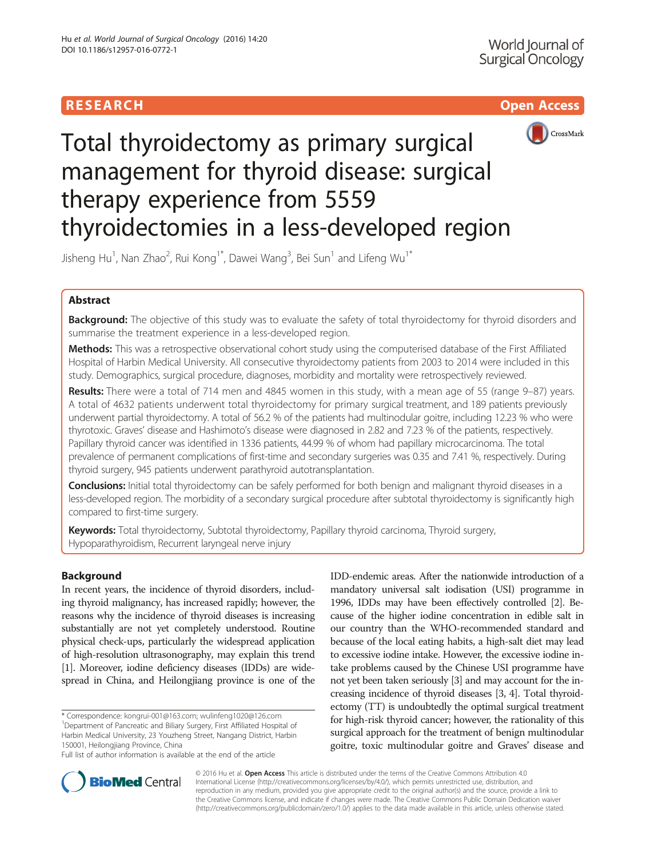



# Total thyroidectomy as primary surgical management for thyroid disease: surgical therapy experience from 5559 thyroidectomies in a less-developed region

Jisheng Hu<sup>1</sup>, Nan Zhao<sup>2</sup>, Rui Kong<sup>1\*</sup>, Dawei Wang<sup>3</sup>, Bei Sun<sup>1</sup> and Lifeng Wu<sup>1\*</sup>

# Abstract

Background: The objective of this study was to evaluate the safety of total thyroidectomy for thyroid disorders and summarise the treatment experience in a less-developed region.

Methods: This was a retrospective observational cohort study using the computerised database of the First Affiliated Hospital of Harbin Medical University. All consecutive thyroidectomy patients from 2003 to 2014 were included in this study. Demographics, surgical procedure, diagnoses, morbidity and mortality were retrospectively reviewed.

Results: There were a total of 714 men and 4845 women in this study, with a mean age of 55 (range 9–87) years. A total of 4632 patients underwent total thyroidectomy for primary surgical treatment, and 189 patients previously underwent partial thyroidectomy. A total of 56.2 % of the patients had multinodular goitre, including 12.23 % who were thyrotoxic. Graves' disease and Hashimoto's disease were diagnosed in 2.82 and 7.23 % of the patients, respectively. Papillary thyroid cancer was identified in 1336 patients, 44.99 % of whom had papillary microcarcinoma. The total prevalence of permanent complications of first-time and secondary surgeries was 0.35 and 7.41 %, respectively. During thyroid surgery, 945 patients underwent parathyroid autotransplantation.

**Conclusions:** Initial total thyroidectomy can be safely performed for both benign and malignant thyroid diseases in a less-developed region. The morbidity of a secondary surgical procedure after subtotal thyroidectomy is significantly high compared to first-time surgery.

Keywords: Total thyroidectomy, Subtotal thyroidectomy, Papillary thyroid carcinoma, Thyroid surgery, Hypoparathyroidism, Recurrent laryngeal nerve injury

# Background

In recent years, the incidence of thyroid disorders, including thyroid malignancy, has increased rapidly; however, the reasons why the incidence of thyroid diseases is increasing substantially are not yet completely understood. Routine physical check-ups, particularly the widespread application of high-resolution ultrasonography, may explain this trend [[1](#page-6-0)]. Moreover, iodine deficiency diseases (IDDs) are widespread in China, and Heilongjiang province is one of the

\* Correspondence: [kongrui-001@163.com](mailto:kongrui-001@163.com); [wulinfeng1020@126.com](mailto:wulinfeng1020@126.com) <sup>1</sup> <sup>1</sup>Department of Pancreatic and Biliary Surgery, First Affiliated Hospital of Harbin Medical University, 23 Youzheng Street, Nangang District, Harbin 150001, Heilongjiang Province, China

Full list of author information is available at the end of the article

IDD-endemic areas. After the nationwide introduction of a mandatory universal salt iodisation (USI) programme in 1996, IDDs may have been effectively controlled [\[2\]](#page-6-0). Because of the higher iodine concentration in edible salt in our country than the WHO-recommended standard and because of the local eating habits, a high-salt diet may lead to excessive iodine intake. However, the excessive iodine intake problems caused by the Chinese USI programme have not yet been taken seriously [\[3\]](#page-6-0) and may account for the increasing incidence of thyroid diseases [[3, 4\]](#page-6-0). Total thyroidectomy (TT) is undoubtedly the optimal surgical treatment for high-risk thyroid cancer; however, the rationality of this surgical approach for the treatment of benign multinodular goitre, toxic multinodular goitre and Graves' disease and



© 2016 Hu et al. Open Access This article is distributed under the terms of the Creative Commons Attribution 4.0 International License [\(http://creativecommons.org/licenses/by/4.0/](http://creativecommons.org/licenses/by/4.0/)), which permits unrestricted use, distribution, and reproduction in any medium, provided you give appropriate credit to the original author(s) and the source, provide a link to the Creative Commons license, and indicate if changes were made. The Creative Commons Public Domain Dedication waiver [\(http://creativecommons.org/publicdomain/zero/1.0/](http://creativecommons.org/publicdomain/zero/1.0/)) applies to the data made available in this article, unless otherwise stated.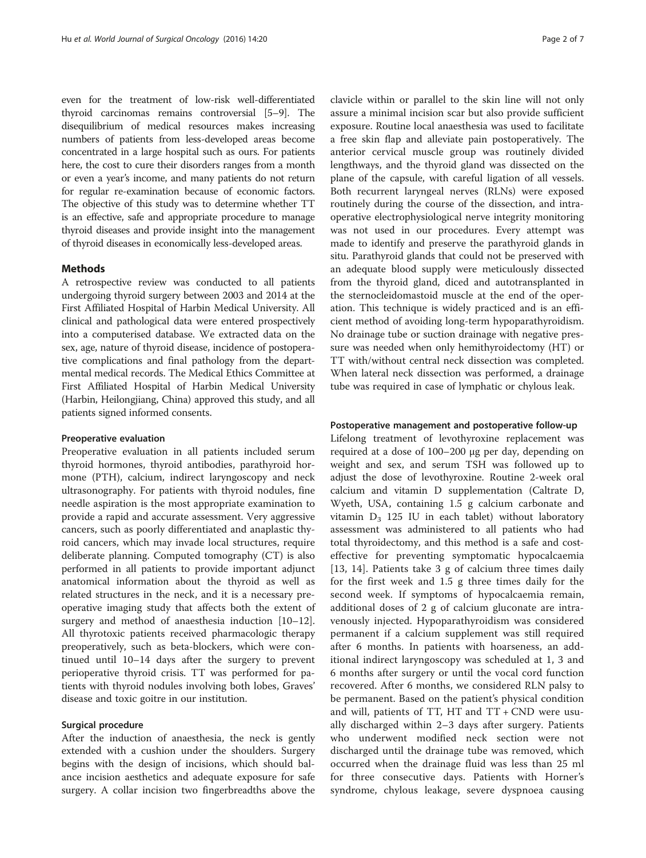even for the treatment of low-risk well-differentiated thyroid carcinomas remains controversial [[5](#page-6-0)–[9\]](#page-6-0). The disequilibrium of medical resources makes increasing numbers of patients from less-developed areas become concentrated in a large hospital such as ours. For patients here, the cost to cure their disorders ranges from a month or even a year's income, and many patients do not return for regular re-examination because of economic factors. The objective of this study was to determine whether TT is an effective, safe and appropriate procedure to manage thyroid diseases and provide insight into the management of thyroid diseases in economically less-developed areas.

#### Methods

A retrospective review was conducted to all patients undergoing thyroid surgery between 2003 and 2014 at the First Affiliated Hospital of Harbin Medical University. All clinical and pathological data were entered prospectively into a computerised database. We extracted data on the sex, age, nature of thyroid disease, incidence of postoperative complications and final pathology from the departmental medical records. The Medical Ethics Committee at First Affiliated Hospital of Harbin Medical University (Harbin, Heilongjiang, China) approved this study, and all patients signed informed consents.

### Preoperative evaluation

Preoperative evaluation in all patients included serum thyroid hormones, thyroid antibodies, parathyroid hormone (PTH), calcium, indirect laryngoscopy and neck ultrasonography. For patients with thyroid nodules, fine needle aspiration is the most appropriate examination to provide a rapid and accurate assessment. Very aggressive cancers, such as poorly differentiated and anaplastic thyroid cancers, which may invade local structures, require deliberate planning. Computed tomography (CT) is also performed in all patients to provide important adjunct anatomical information about the thyroid as well as related structures in the neck, and it is a necessary preoperative imaging study that affects both the extent of surgery and method of anaesthesia induction [[10](#page-6-0)–[12](#page-6-0)]. All thyrotoxic patients received pharmacologic therapy preoperatively, such as beta-blockers, which were continued until 10–14 days after the surgery to prevent perioperative thyroid crisis. TT was performed for patients with thyroid nodules involving both lobes, Graves' disease and toxic goitre in our institution.

# Surgical procedure

After the induction of anaesthesia, the neck is gently extended with a cushion under the shoulders. Surgery begins with the design of incisions, which should balance incision aesthetics and adequate exposure for safe surgery. A collar incision two fingerbreadths above the clavicle within or parallel to the skin line will not only assure a minimal incision scar but also provide sufficient exposure. Routine local anaesthesia was used to facilitate a free skin flap and alleviate pain postoperatively. The anterior cervical muscle group was routinely divided lengthways, and the thyroid gland was dissected on the plane of the capsule, with careful ligation of all vessels. Both recurrent laryngeal nerves (RLNs) were exposed routinely during the course of the dissection, and intraoperative electrophysiological nerve integrity monitoring was not used in our procedures. Every attempt was made to identify and preserve the parathyroid glands in situ. Parathyroid glands that could not be preserved with an adequate blood supply were meticulously dissected from the thyroid gland, diced and autotransplanted in the sternocleidomastoid muscle at the end of the operation. This technique is widely practiced and is an efficient method of avoiding long-term hypoparathyroidism. No drainage tube or suction drainage with negative pressure was needed when only hemithyroidectomy (HT) or TT with/without central neck dissection was completed. When lateral neck dissection was performed, a drainage tube was required in case of lymphatic or chylous leak.

# Postoperative management and postoperative follow-up

Lifelong treatment of levothyroxine replacement was required at a dose of 100–200 μg per day, depending on weight and sex, and serum TSH was followed up to adjust the dose of levothyroxine. Routine 2-week oral calcium and vitamin D supplementation (Caltrate D, Wyeth, USA, containing 1.5 g calcium carbonate and vitamin  $D_3$  125 IU in each tablet) without laboratory assessment was administered to all patients who had total thyroidectomy, and this method is a safe and costeffective for preventing symptomatic hypocalcaemia [[13, 14](#page-6-0)]. Patients take 3 g of calcium three times daily for the first week and 1.5 g three times daily for the second week. If symptoms of hypocalcaemia remain, additional doses of 2 g of calcium gluconate are intravenously injected. Hypoparathyroidism was considered permanent if a calcium supplement was still required after 6 months. In patients with hoarseness, an additional indirect laryngoscopy was scheduled at 1, 3 and 6 months after surgery or until the vocal cord function recovered. After 6 months, we considered RLN palsy to be permanent. Based on the patient's physical condition and will, patients of  $TT$ ,  $HT$  and  $TT$  +  $CND$  were usually discharged within 2–3 days after surgery. Patients who underwent modified neck section were not discharged until the drainage tube was removed, which occurred when the drainage fluid was less than 25 ml for three consecutive days. Patients with Horner's syndrome, chylous leakage, severe dyspnoea causing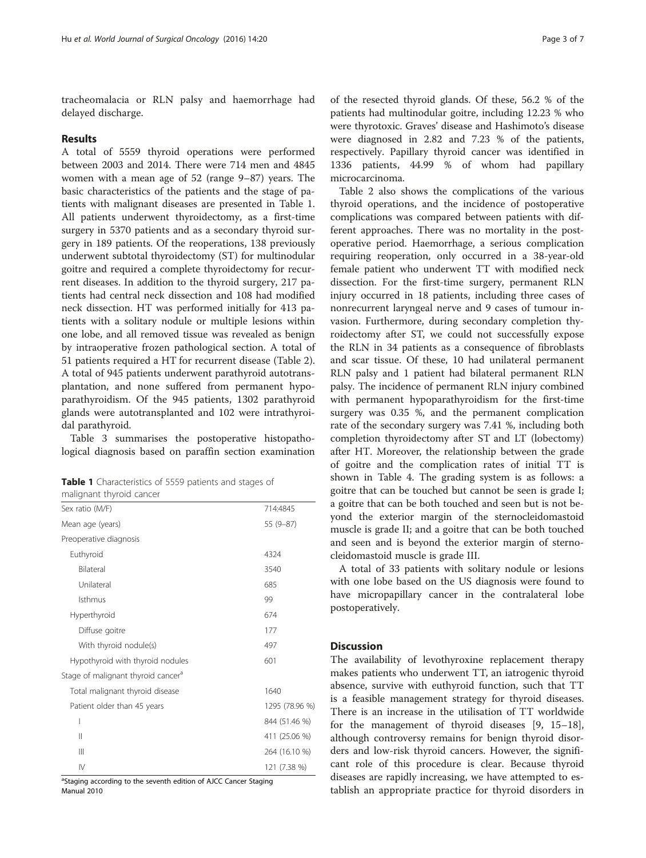tracheomalacia or RLN palsy and haemorrhage had delayed discharge.

# Results

A total of 5559 thyroid operations were performed between 2003 and 2014. There were 714 men and 4845 women with a mean age of 52 (range 9–87) years. The basic characteristics of the patients and the stage of patients with malignant diseases are presented in Table 1. All patients underwent thyroidectomy, as a first-time surgery in 5370 patients and as a secondary thyroid surgery in 189 patients. Of the reoperations, 138 previously underwent subtotal thyroidectomy (ST) for multinodular goitre and required a complete thyroidectomy for recurrent diseases. In addition to the thyroid surgery, 217 patients had central neck dissection and 108 had modified neck dissection. HT was performed initially for 413 patients with a solitary nodule or multiple lesions within one lobe, and all removed tissue was revealed as benign by intraoperative frozen pathological section. A total of 51 patients required a HT for recurrent disease (Table [2](#page-3-0)). A total of 945 patients underwent parathyroid autotransplantation, and none suffered from permanent hypoparathyroidism. Of the 945 patients, 1302 parathyroid glands were autotransplanted and 102 were intrathyroidal parathyroid.

Table [3](#page-3-0) summarises the postoperative histopathological diagnosis based on paraffin section examination

| Table 1 Characteristics of 5559 patients and stages of |  |  |  |
|--------------------------------------------------------|--|--|--|
| malignant thyroid cancer                               |  |  |  |

| mangmant trigioid cancer                       |                |
|------------------------------------------------|----------------|
| Sex ratio (M/F)                                | 714:4845       |
| Mean age (years)                               | 55 (9-87)      |
| Preoperative diagnosis                         |                |
| Euthyroid                                      | 4324           |
| Bilateral                                      | 3540           |
| Unilateral                                     | 685            |
| Isthmus                                        | 99             |
| Hyperthyroid                                   | 674            |
| Diffuse goitre                                 | 177            |
| With thyroid nodule(s)                         | 497            |
| Hypothyroid with thyroid nodules               | 601            |
| Stage of malignant thyroid cancer <sup>a</sup> |                |
| Total malignant thyroid disease                | 1640           |
| Patient older than 45 years                    | 1295 (78.96 %) |
| I                                              | 844 (51.46 %)  |
| Ш                                              | 411 (25.06 %)  |
| Ш                                              | 264 (16.10 %)  |
| IV                                             | 121 (7.38 %)   |

<sup>a</sup>Staging according to the seventh edition of AJCC Cancer Staging Manual 2010

of the resected thyroid glands. Of these, 56.2 % of the patients had multinodular goitre, including 12.23 % who were thyrotoxic. Graves' disease and Hashimoto's disease were diagnosed in 2.82 and 7.23 % of the patients, respectively. Papillary thyroid cancer was identified in 1336 patients, 44.99 % of whom had papillary microcarcinoma.

Table [2](#page-3-0) also shows the complications of the various thyroid operations, and the incidence of postoperative complications was compared between patients with different approaches. There was no mortality in the postoperative period. Haemorrhage, a serious complication requiring reoperation, only occurred in a 38-year-old female patient who underwent TT with modified neck dissection. For the first-time surgery, permanent RLN injury occurred in 18 patients, including three cases of nonrecurrent laryngeal nerve and 9 cases of tumour invasion. Furthermore, during secondary completion thyroidectomy after ST, we could not successfully expose the RLN in 34 patients as a consequence of fibroblasts and scar tissue. Of these, 10 had unilateral permanent RLN palsy and 1 patient had bilateral permanent RLN palsy. The incidence of permanent RLN injury combined with permanent hypoparathyroidism for the first-time surgery was 0.35 %, and the permanent complication rate of the secondary surgery was 7.41 %, including both completion thyroidectomy after ST and LT (lobectomy) after HT. Moreover, the relationship between the grade of goitre and the complication rates of initial TT is shown in Table [4.](#page-4-0) The grading system is as follows: a goitre that can be touched but cannot be seen is grade I; a goitre that can be both touched and seen but is not beyond the exterior margin of the sternocleidomastoid muscle is grade II; and a goitre that can be both touched and seen and is beyond the exterior margin of sternocleidomastoid muscle is grade III.

A total of 33 patients with solitary nodule or lesions with one lobe based on the US diagnosis were found to have micropapillary cancer in the contralateral lobe postoperatively.

# **Discussion**

The availability of levothyroxine replacement therapy makes patients who underwent TT, an iatrogenic thyroid absence, survive with euthyroid function, such that TT is a feasible management strategy for thyroid diseases. There is an increase in the utilisation of TT worldwide for the management of thyroid diseases [\[9](#page-6-0), [15](#page-6-0)–[18](#page-6-0)], although controversy remains for benign thyroid disorders and low-risk thyroid cancers. However, the significant role of this procedure is clear. Because thyroid diseases are rapidly increasing, we have attempted to establish an appropriate practice for thyroid disorders in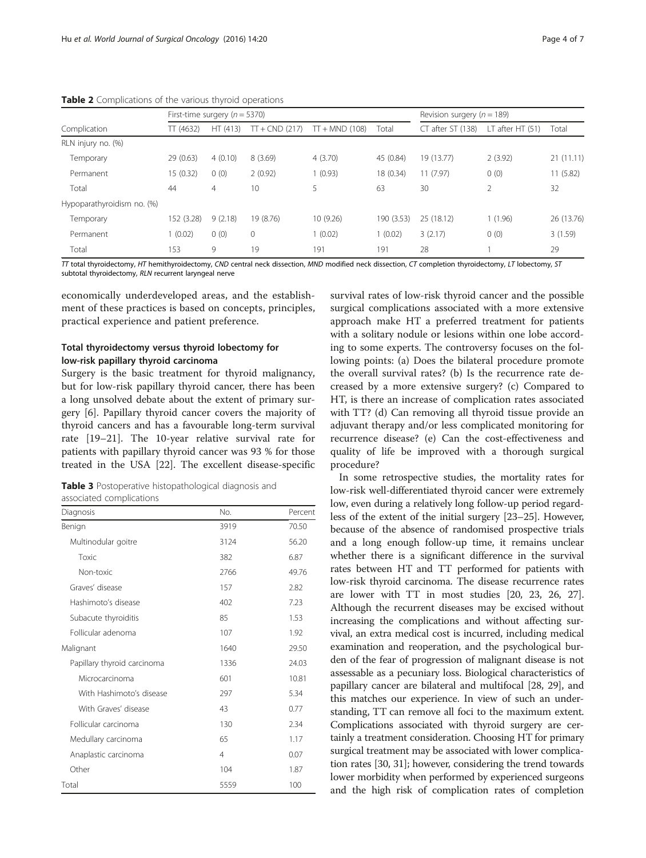|                            | First-time surgery ( $n = 5370$ ) |          |                  |                  | Revision surgery ( $n = 189$ ) |                   |                   |            |
|----------------------------|-----------------------------------|----------|------------------|------------------|--------------------------------|-------------------|-------------------|------------|
| Complication               | TT(4632)                          | HT (413) | $TT + CND (217)$ | $TT + MND$ (108) | Total                          | CT after ST (138) | LT after $HT(51)$ | Total      |
| RLN injury no. (%)         |                                   |          |                  |                  |                                |                   |                   |            |
| Temporary                  | 29(0.63)                          | 4(0.10)  | 8(3.69)          | 4(3.70)          | 45 (0.84)                      | 19 (13.77)        | 2(3.92)           | 21(11.11)  |
| Permanent                  | 15(0.32)                          | 0(0)     | 2(0.92)          | 1(0.93)          | 18 (0.34)                      | 11(7.97)          | 0(0)              | 11(5.82)   |
| Total                      | 44                                | 4        | 10               | 5                | 63                             | 30                | 2                 | 32         |
| Hypoparathyroidism no. (%) |                                   |          |                  |                  |                                |                   |                   |            |
| Temporary                  | 152 (3.28)                        | 9(2.18)  | 19 (8.76)        | 10 (9.26)        | 190 (3.53)                     | 25 (18.12)        | 1(1.96)           | 26 (13.76) |
| Permanent                  | (0.02)                            | 0(0)     | $\mathbf{0}$     | (0.02)           | 1(0.02)                        | 3(2.17)           | 0(0)              | 3(1.59)    |
| Total                      | 153                               | 9        | 19               | 191              | 191                            | 28                |                   | 29         |

<span id="page-3-0"></span>Table 2 Complications of the various thyroid operations

 $TT$  total thyroidectomy, HT hemithyroidectomy, CND central neck dissection, MND modified neck dissection, CT completion thyroidectomy, LT lobectomy, ST subtotal thyroidectomy, RLN recurrent laryngeal nerve

economically underdeveloped areas, and the establishment of these practices is based on concepts, principles, practical experience and patient preference.

# Total thyroidectomy versus thyroid lobectomy for low-risk papillary thyroid carcinoma

Surgery is the basic treatment for thyroid malignancy, but for low-risk papillary thyroid cancer, there has been a long unsolved debate about the extent of primary surgery [[6\]](#page-6-0). Papillary thyroid cancer covers the majority of thyroid cancers and has a favourable long-term survival rate [[19](#page-6-0)–[21](#page-6-0)]. The 10-year relative survival rate for patients with papillary thyroid cancer was 93 % for those treated in the USA [[22\]](#page-6-0). The excellent disease-specific

Table 3 Postoperative histopathological diagnosis and associated complications

| associated complications    |                |         |
|-----------------------------|----------------|---------|
| Diagnosis                   | No.            | Percent |
| Benign                      | 3919           | 70.50   |
| Multinodular goitre         | 3124           | 56.20   |
| Toxic                       | 382            | 6.87    |
| Non-toxic                   | 2766           | 49.76   |
| Graves' disease             | 157            | 2.82    |
| Hashimoto's disease         | 402            | 7.23    |
| Subacute thyroiditis        | 85             | 1.53    |
| Follicular adenoma          | 107            | 1.92    |
| Malignant                   | 1640           | 29.50   |
| Papillary thyroid carcinoma | 1336           | 24.03   |
| Microcarcinoma              | 601            | 10.81   |
| With Hashimoto's disease    | 297            | 5.34    |
| With Graves' disease        | 43             | 0.77    |
| Follicular carcinoma        | 130            | 2.34    |
| Medullary carcinoma         | 65             | 1.17    |
| Anaplastic carcinoma        | $\overline{4}$ | 0.07    |
| Other                       | 104            | 1.87    |
| Total                       | 5559           | 100     |

survival rates of low-risk thyroid cancer and the possible surgical complications associated with a more extensive approach make HT a preferred treatment for patients with a solitary nodule or lesions within one lobe according to some experts. The controversy focuses on the following points: (a) Does the bilateral procedure promote the overall survival rates? (b) Is the recurrence rate decreased by a more extensive surgery? (c) Compared to HT, is there an increase of complication rates associated with TT? (d) Can removing all thyroid tissue provide an adjuvant therapy and/or less complicated monitoring for recurrence disease? (e) Can the cost-effectiveness and quality of life be improved with a thorough surgical procedure?

In some retrospective studies, the mortality rates for low-risk well-differentiated thyroid cancer were extremely low, even during a relatively long follow-up period regardless of the extent of the initial surgery [\[23](#page-6-0)–[25\]](#page-6-0). However, because of the absence of randomised prospective trials and a long enough follow-up time, it remains unclear whether there is a significant difference in the survival rates between HT and TT performed for patients with low-risk thyroid carcinoma. The disease recurrence rates are lower with TT in most studies [\[20, 23, 26, 27](#page-6-0)]. Although the recurrent diseases may be excised without increasing the complications and without affecting survival, an extra medical cost is incurred, including medical examination and reoperation, and the psychological burden of the fear of progression of malignant disease is not assessable as a pecuniary loss. Biological characteristics of papillary cancer are bilateral and multifocal [[28](#page-6-0), [29\]](#page-6-0), and this matches our experience. In view of such an understanding, TT can remove all foci to the maximum extent. Complications associated with thyroid surgery are certainly a treatment consideration. Choosing HT for primary surgical treatment may be associated with lower complication rates [\[30, 31](#page-6-0)]; however, considering the trend towards lower morbidity when performed by experienced surgeons and the high risk of complication rates of completion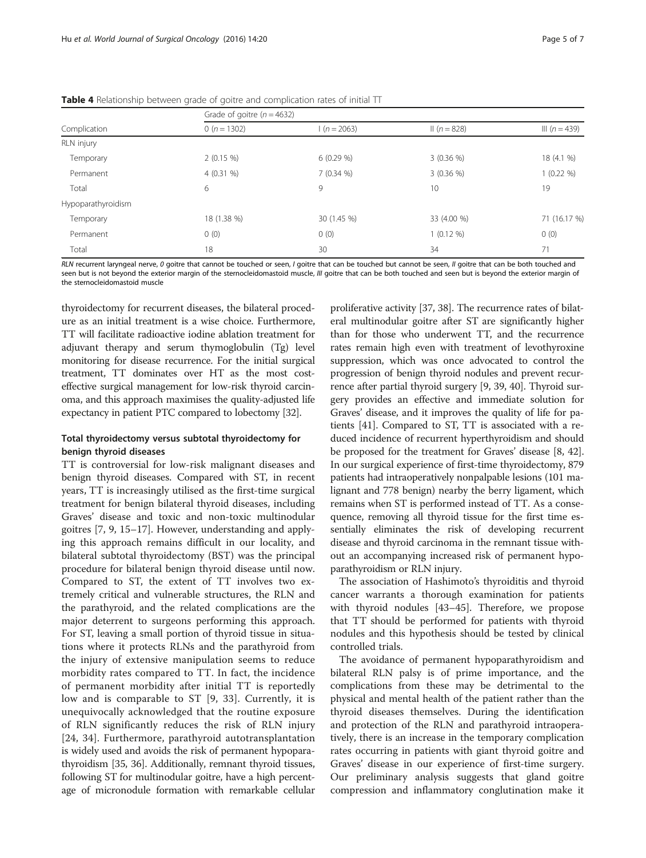|                    | Grade of goitre ( $n = 4632$ ) |               |                |                 |  |  |
|--------------------|--------------------------------|---------------|----------------|-----------------|--|--|
| Complication       | 0 ( $n = 1302$ )               | $1(n = 2063)$ | $\ln(n = 828)$ | III $(n = 439)$ |  |  |
| RLN injury         |                                |               |                |                 |  |  |
| Temporary          | $2(0.15\%)$                    | $6(0.29\%)$   | $3(0.36\%)$    | 18 (4.1 %)      |  |  |
| Permanent          | $4(0.31\%)$                    | $7(0.34\%)$   | $3(0.36\%)$    | $1(0.22\%)$     |  |  |
| Total              | 6                              | 9             | 10             | 19              |  |  |
| Hypoparathyroidism |                                |               |                |                 |  |  |
| Temporary          | 18 (1.38 %)                    | 30 (1.45 %)   | 33 (4.00 %)    | 71 (16.17 %)    |  |  |
| Permanent          | 0(0)                           | 0(0)          | $1(0.12\%)$    | 0(0)            |  |  |
| Total              | 18                             | 30            | 34             | 71              |  |  |

<span id="page-4-0"></span>Table 4 Relationship between grade of goitre and complication rates of initial TT

RLN recurrent laryngeal nerve, 0 goitre that cannot be touched or seen, I goitre that can be touched but cannot be seen. Il goitre that can be both touched and seen but is not beyond the exterior margin of the sternocleidomastoid muscle, III goitre that can be both touched and seen but is beyond the exterior margin of the sternocleidomastoid muscle

thyroidectomy for recurrent diseases, the bilateral procedure as an initial treatment is a wise choice. Furthermore, TT will facilitate radioactive iodine ablation treatment for adjuvant therapy and serum thymoglobulin (Tg) level monitoring for disease recurrence. For the initial surgical treatment, TT dominates over HT as the most costeffective surgical management for low-risk thyroid carcinoma, and this approach maximises the quality-adjusted life expectancy in patient PTC compared to lobectomy [[32](#page-6-0)].

# Total thyroidectomy versus subtotal thyroidectomy for benign thyroid diseases

TT is controversial for low-risk malignant diseases and benign thyroid diseases. Compared with ST, in recent years, TT is increasingly utilised as the first-time surgical treatment for benign bilateral thyroid diseases, including Graves' disease and toxic and non-toxic multinodular goitres [\[7](#page-6-0), [9](#page-6-0), [15](#page-6-0)–[17\]](#page-6-0). However, understanding and applying this approach remains difficult in our locality, and bilateral subtotal thyroidectomy (BST) was the principal procedure for bilateral benign thyroid disease until now. Compared to ST, the extent of TT involves two extremely critical and vulnerable structures, the RLN and the parathyroid, and the related complications are the major deterrent to surgeons performing this approach. For ST, leaving a small portion of thyroid tissue in situations where it protects RLNs and the parathyroid from the injury of extensive manipulation seems to reduce morbidity rates compared to TT. In fact, the incidence of permanent morbidity after initial TT is reportedly low and is comparable to ST [[9, 33\]](#page-6-0). Currently, it is unequivocally acknowledged that the routine exposure of RLN significantly reduces the risk of RLN injury [[24](#page-6-0), [34](#page-6-0)]. Furthermore, parathyroid autotransplantation is widely used and avoids the risk of permanent hypoparathyroidism [\[35, 36](#page-6-0)]. Additionally, remnant thyroid tissues, following ST for multinodular goitre, have a high percentage of micronodule formation with remarkable cellular

proliferative activity [\[37](#page-6-0), [38](#page-6-0)]. The recurrence rates of bilateral multinodular goitre after ST are significantly higher than for those who underwent TT, and the recurrence rates remain high even with treatment of levothyroxine suppression, which was once advocated to control the progression of benign thyroid nodules and prevent recurrence after partial thyroid surgery [[9](#page-6-0), [39](#page-6-0), [40\]](#page-6-0). Thyroid surgery provides an effective and immediate solution for Graves' disease, and it improves the quality of life for patients [[41](#page-6-0)]. Compared to ST, TT is associated with a reduced incidence of recurrent hyperthyroidism and should be proposed for the treatment for Graves' disease [\[8](#page-6-0), [42](#page-6-0)]. In our surgical experience of first-time thyroidectomy, 879 patients had intraoperatively nonpalpable lesions (101 malignant and 778 benign) nearby the berry ligament, which remains when ST is performed instead of TT. As a consequence, removing all thyroid tissue for the first time essentially eliminates the risk of developing recurrent disease and thyroid carcinoma in the remnant tissue without an accompanying increased risk of permanent hypoparathyroidism or RLN injury.

The association of Hashimoto's thyroiditis and thyroid cancer warrants a thorough examination for patients with thyroid nodules [\[43](#page-6-0)–[45\]](#page-6-0). Therefore, we propose that TT should be performed for patients with thyroid nodules and this hypothesis should be tested by clinical controlled trials.

The avoidance of permanent hypoparathyroidism and bilateral RLN palsy is of prime importance, and the complications from these may be detrimental to the physical and mental health of the patient rather than the thyroid diseases themselves. During the identification and protection of the RLN and parathyroid intraoperatively, there is an increase in the temporary complication rates occurring in patients with giant thyroid goitre and Graves' disease in our experience of first-time surgery. Our preliminary analysis suggests that gland goitre compression and inflammatory conglutination make it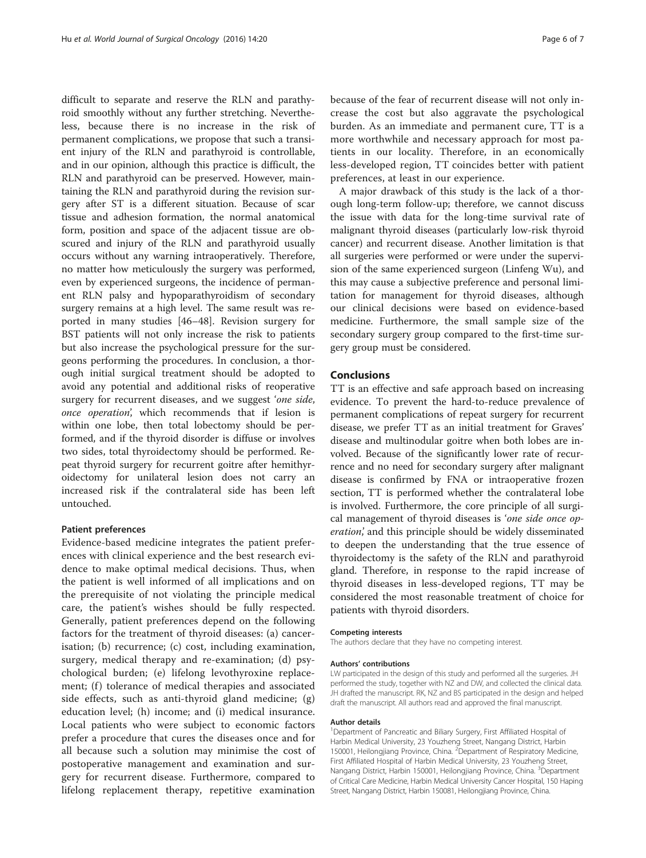difficult to separate and reserve the RLN and parathyroid smoothly without any further stretching. Nevertheless, because there is no increase in the risk of permanent complications, we propose that such a transient injury of the RLN and parathyroid is controllable, and in our opinion, although this practice is difficult, the RLN and parathyroid can be preserved. However, maintaining the RLN and parathyroid during the revision surgery after ST is a different situation. Because of scar tissue and adhesion formation, the normal anatomical form, position and space of the adjacent tissue are obscured and injury of the RLN and parathyroid usually occurs without any warning intraoperatively. Therefore, no matter how meticulously the surgery was performed, even by experienced surgeons, the incidence of permanent RLN palsy and hypoparathyroidism of secondary surgery remains at a high level. The same result was reported in many studies [\[46](#page-6-0)–[48\]](#page-6-0). Revision surgery for BST patients will not only increase the risk to patients but also increase the psychological pressure for the surgeons performing the procedures. In conclusion, a thorough initial surgical treatment should be adopted to avoid any potential and additional risks of reoperative surgery for recurrent diseases, and we suggest 'one side, once operation', which recommends that if lesion is within one lobe, then total lobectomy should be performed, and if the thyroid disorder is diffuse or involves two sides, total thyroidectomy should be performed. Repeat thyroid surgery for recurrent goitre after hemithyroidectomy for unilateral lesion does not carry an increased risk if the contralateral side has been left untouched.

# Patient preferences

Evidence-based medicine integrates the patient preferences with clinical experience and the best research evidence to make optimal medical decisions. Thus, when the patient is well informed of all implications and on the prerequisite of not violating the principle medical care, the patient's wishes should be fully respected. Generally, patient preferences depend on the following factors for the treatment of thyroid diseases: (a) cancerisation; (b) recurrence; (c) cost, including examination, surgery, medical therapy and re-examination; (d) psychological burden; (e) lifelong levothyroxine replacement; (f) tolerance of medical therapies and associated side effects, such as anti-thyroid gland medicine; (g) education level; (h) income; and (i) medical insurance. Local patients who were subject to economic factors prefer a procedure that cures the diseases once and for all because such a solution may minimise the cost of postoperative management and examination and surgery for recurrent disease. Furthermore, compared to lifelong replacement therapy, repetitive examination

because of the fear of recurrent disease will not only increase the cost but also aggravate the psychological burden. As an immediate and permanent cure, TT is a more worthwhile and necessary approach for most patients in our locality. Therefore, in an economically less-developed region, TT coincides better with patient preferences, at least in our experience.

A major drawback of this study is the lack of a thorough long-term follow-up; therefore, we cannot discuss the issue with data for the long-time survival rate of malignant thyroid diseases (particularly low-risk thyroid cancer) and recurrent disease. Another limitation is that all surgeries were performed or were under the supervision of the same experienced surgeon (Linfeng Wu), and this may cause a subjective preference and personal limitation for management for thyroid diseases, although our clinical decisions were based on evidence-based medicine. Furthermore, the small sample size of the secondary surgery group compared to the first-time surgery group must be considered.

# Conclusions

TT is an effective and safe approach based on increasing evidence. To prevent the hard-to-reduce prevalence of permanent complications of repeat surgery for recurrent disease, we prefer TT as an initial treatment for Graves' disease and multinodular goitre when both lobes are involved. Because of the significantly lower rate of recurrence and no need for secondary surgery after malignant disease is confirmed by FNA or intraoperative frozen section, TT is performed whether the contralateral lobe is involved. Furthermore, the core principle of all surgical management of thyroid diseases is 'one side once operation,' and this principle should be widely disseminated to deepen the understanding that the true essence of thyroidectomy is the safety of the RLN and parathyroid gland. Therefore, in response to the rapid increase of thyroid diseases in less-developed regions, TT may be considered the most reasonable treatment of choice for patients with thyroid disorders.

#### Competing interests

The authors declare that they have no competing interest.

#### Authors' contributions

LW participated in the design of this study and performed all the surgeries. JH performed the study, together with NZ and DW, and collected the clinical data. JH drafted the manuscript. RK, NZ and BS participated in the design and helped draft the manuscript. All authors read and approved the final manuscript.

#### Author details

<sup>1</sup>Department of Pancreatic and Biliary Surgery, First Affiliated Hospital of Harbin Medical University, 23 Youzheng Street, Nangang District, Harbin 150001, Heilongjiang Province, China. <sup>2</sup>Department of Respiratory Medicine First Affiliated Hospital of Harbin Medical University, 23 Youzheng Street, Nangang District, Harbin 150001, Heilongjiang Province, China. <sup>3</sup>Department of Critical Care Medicine, Harbin Medical University Cancer Hospital, 150 Haping Street, Nangang District, Harbin 150081, Heilongjiang Province, China.